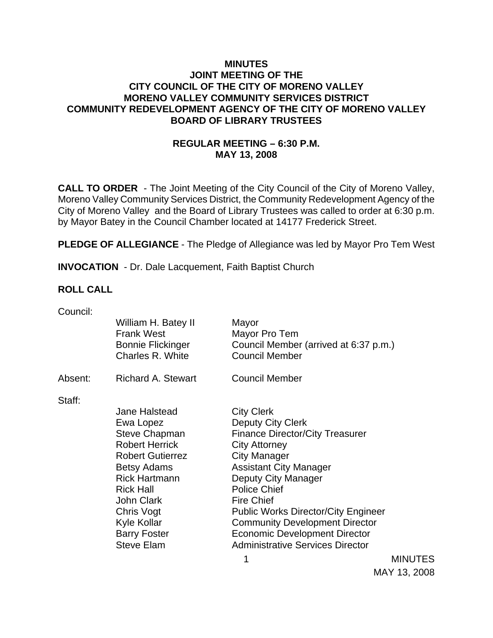### **MINUTES JOINT MEETING OF THE CITY COUNCIL OF THE CITY OF MORENO VALLEY MORENO VALLEY COMMUNITY SERVICES DISTRICT COMMUNITY REDEVELOPMENT AGENCY OF THE CITY OF MORENO VALLEY BOARD OF LIBRARY TRUSTEES**

# **REGULAR MEETING – 6:30 P.M. MAY 13, 2008**

**CALL TO ORDER** - The Joint Meeting of the City Council of the City of Moreno Valley, Moreno Valley Community Services District, the Community Redevelopment Agency of the City of Moreno Valley and the Board of Library Trustees was called to order at 6:30 p.m. by Mayor Batey in the Council Chamber located at 14177 Frederick Street.

**PLEDGE OF ALLEGIANCE** - The Pledge of Allegiance was led by Mayor Pro Tem West

**INVOCATION** - Dr. Dale Lacquement, Faith Baptist Church

#### **ROLL CALL**

| Council: |                                              |                                                                |                |
|----------|----------------------------------------------|----------------------------------------------------------------|----------------|
|          | William H. Batey II<br><b>Frank West</b>     | Mayor<br>Mayor Pro Tem                                         |                |
|          | <b>Bonnie Flickinger</b><br>Charles R. White | Council Member (arrived at 6:37 p.m.)<br><b>Council Member</b> |                |
| Absent:  | <b>Richard A. Stewart</b>                    | <b>Council Member</b>                                          |                |
| Staff:   |                                              |                                                                |                |
|          | Jane Halstead                                | <b>City Clerk</b>                                              |                |
|          | Ewa Lopez                                    | Deputy City Clerk                                              |                |
|          | <b>Steve Chapman</b>                         | <b>Finance Director/City Treasurer</b>                         |                |
|          | <b>Robert Herrick</b>                        | <b>City Attorney</b>                                           |                |
|          | <b>Robert Gutierrez</b>                      | <b>City Manager</b>                                            |                |
|          | <b>Betsy Adams</b>                           | <b>Assistant City Manager</b>                                  |                |
|          | <b>Rick Hartmann</b>                         | Deputy City Manager                                            |                |
|          | <b>Rick Hall</b>                             | <b>Police Chief</b>                                            |                |
|          | <b>John Clark</b>                            | <b>Fire Chief</b>                                              |                |
|          | Chris Vogt                                   | <b>Public Works Director/City Engineer</b>                     |                |
|          | Kyle Kollar                                  | <b>Community Development Director</b>                          |                |
|          | <b>Barry Foster</b>                          | <b>Economic Development Director</b>                           |                |
|          | <b>Steve Elam</b>                            | <b>Administrative Services Director</b>                        |                |
|          |                                              | 1                                                              | <b>MINUTES</b> |

**MINUTES** MAY 13, 2008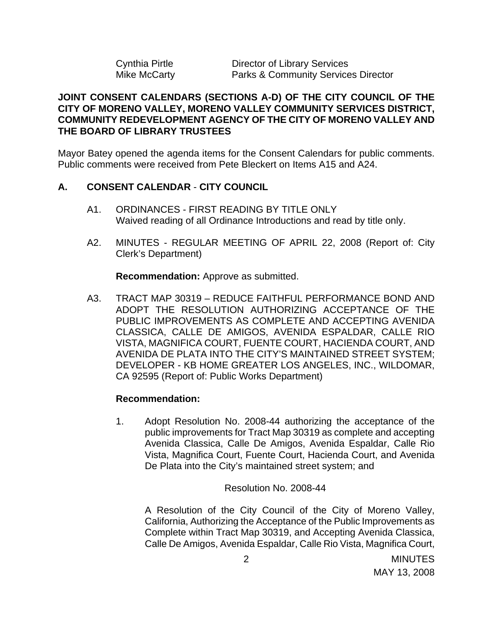| Cynthia Pirtle | Director of Library Services                   |
|----------------|------------------------------------------------|
| Mike McCarty   | <b>Parks &amp; Community Services Director</b> |

### **JOINT CONSENT CALENDARS (SECTIONS A-D) OF THE CITY COUNCIL OF THE CITY OF MORENO VALLEY, MORENO VALLEY COMMUNITY SERVICES DISTRICT, COMMUNITY REDEVELOPMENT AGENCY OF THE CITY OF MORENO VALLEY AND THE BOARD OF LIBRARY TRUSTEES**

Mayor Batey opened the agenda items for the Consent Calendars for public comments. Public comments were received from Pete Bleckert on Items A15 and A24.

### **A. CONSENT CALENDAR** - **CITY COUNCIL**

- A1. ORDINANCES FIRST READING BY TITLE ONLY Waived reading of all Ordinance Introductions and read by title only.
- A2. MINUTES REGULAR MEETING OF APRIL 22, 2008 (Report of: City Clerk's Department)

**Recommendation:** Approve as submitted.

A3. TRACT MAP 30319 – REDUCE FAITHFUL PERFORMANCE BOND AND ADOPT THE RESOLUTION AUTHORIZING ACCEPTANCE OF THE PUBLIC IMPROVEMENTS AS COMPLETE AND ACCEPTING AVENIDA CLASSICA, CALLE DE AMIGOS, AVENIDA ESPALDAR, CALLE RIO VISTA, MAGNIFICA COURT, FUENTE COURT, HACIENDA COURT, AND AVENIDA DE PLATA INTO THE CITY'S MAINTAINED STREET SYSTEM; DEVELOPER - KB HOME GREATER LOS ANGELES, INC., WILDOMAR, CA 92595 (Report of: Public Works Department)

### **Recommendation:**

1. Adopt Resolution No. 2008-44 authorizing the acceptance of the public improvements for Tract Map 30319 as complete and accepting Avenida Classica, Calle De Amigos, Avenida Espaldar, Calle Rio Vista, Magnifica Court, Fuente Court, Hacienda Court, and Avenida De Plata into the City's maintained street system; and

Resolution No. 2008-44

A Resolution of the City Council of the City of Moreno Valley, California, Authorizing the Acceptance of the Public Improvements as Complete within Tract Map 30319, and Accepting Avenida Classica, Calle De Amigos, Avenida Espaldar, Calle Rio Vista, Magnifica Court,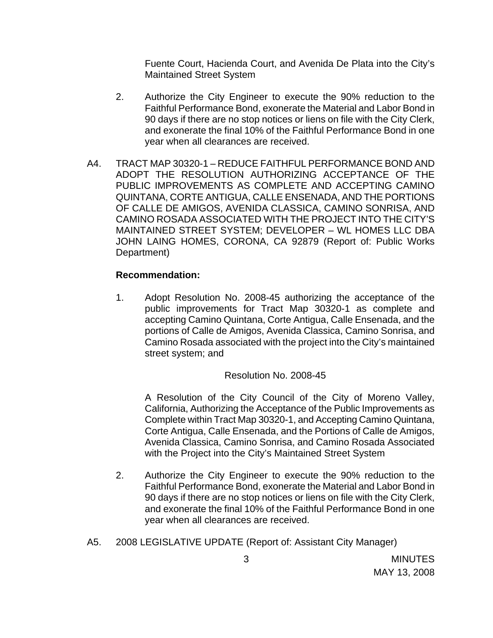Fuente Court, Hacienda Court, and Avenida De Plata into the City's Maintained Street System

- 2. Authorize the City Engineer to execute the 90% reduction to the Faithful Performance Bond, exonerate the Material and Labor Bond in 90 days if there are no stop notices or liens on file with the City Clerk, and exonerate the final 10% of the Faithful Performance Bond in one year when all clearances are received.
- A4. TRACT MAP 30320-1 REDUCE FAITHFUL PERFORMANCE BOND AND ADOPT THE RESOLUTION AUTHORIZING ACCEPTANCE OF THE PUBLIC IMPROVEMENTS AS COMPLETE AND ACCEPTING CAMINO QUINTANA, CORTE ANTIGUA, CALLE ENSENADA, AND THE PORTIONS OF CALLE DE AMIGOS, AVENIDA CLASSICA, CAMINO SONRISA, AND CAMINO ROSADA ASSOCIATED WITH THE PROJECT INTO THE CITY'S MAINTAINED STREET SYSTEM; DEVELOPER – WL HOMES LLC DBA JOHN LAING HOMES, CORONA, CA 92879 (Report of: Public Works Department)

### **Recommendation:**

1. Adopt Resolution No. 2008-45 authorizing the acceptance of the public improvements for Tract Map 30320-1 as complete and accepting Camino Quintana, Corte Antigua, Calle Ensenada, and the portions of Calle de Amigos, Avenida Classica, Camino Sonrisa, and Camino Rosada associated with the project into the City's maintained street system; and

### Resolution No. 2008-45

A Resolution of the City Council of the City of Moreno Valley, California, Authorizing the Acceptance of the Public Improvements as Complete within Tract Map 30320-1, and Accepting Camino Quintana, Corte Antigua, Calle Ensenada, and the Portions of Calle de Amigos, Avenida Classica, Camino Sonrisa, and Camino Rosada Associated with the Project into the City's Maintained Street System

- 2. Authorize the City Engineer to execute the 90% reduction to the Faithful Performance Bond, exonerate the Material and Labor Bond in 90 days if there are no stop notices or liens on file with the City Clerk, and exonerate the final 10% of the Faithful Performance Bond in one year when all clearances are received.
- A5. 2008 LEGISLATIVE UPDATE (Report of: Assistant City Manager)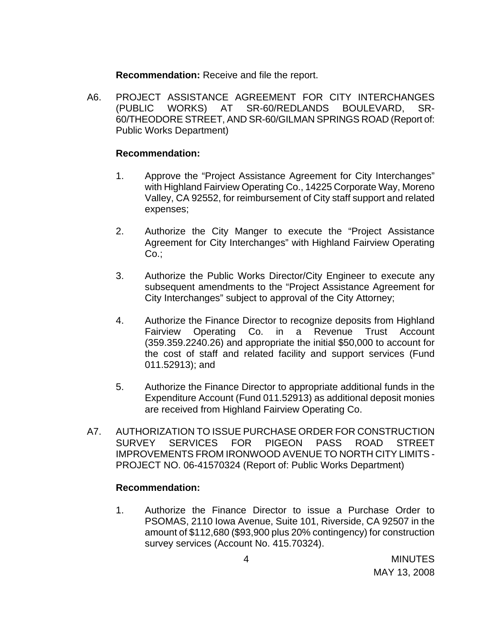**Recommendation:** Receive and file the report.

A6. PROJECT ASSISTANCE AGREEMENT FOR CITY INTERCHANGES (PUBLIC WORKS) AT SR-60/REDLANDS BOULEVARD, SR-60/THEODORE STREET, AND SR-60/GILMAN SPRINGS ROAD (Report of: Public Works Department)

#### **Recommendation:**

- 1. Approve the "Project Assistance Agreement for City Interchanges" with Highland Fairview Operating Co., 14225 Corporate Way, Moreno Valley, CA 92552, for reimbursement of City staff support and related expenses;
- 2. Authorize the City Manger to execute the "Project Assistance Agreement for City Interchanges" with Highland Fairview Operating Co.:
- 3. Authorize the Public Works Director/City Engineer to execute any subsequent amendments to the "Project Assistance Agreement for City Interchanges" subject to approval of the City Attorney;
- 4. Authorize the Finance Director to recognize deposits from Highland Fairview Operating Co. in a Revenue Trust Account (359.359.2240.26) and appropriate the initial \$50,000 to account for the cost of staff and related facility and support services (Fund 011.52913); and
- 5. Authorize the Finance Director to appropriate additional funds in the Expenditure Account (Fund 011.52913) as additional deposit monies are received from Highland Fairview Operating Co.
- A7. AUTHORIZATION TO ISSUE PURCHASE ORDER FOR CONSTRUCTION SURVEY SERVICES FOR PIGEON PASS ROAD STREET IMPROVEMENTS FROM IRONWOOD AVENUE TO NORTH CITY LIMITS - PROJECT NO. 06-41570324 (Report of: Public Works Department)

#### **Recommendation:**

1. Authorize the Finance Director to issue a Purchase Order to PSOMAS, 2110 Iowa Avenue, Suite 101, Riverside, CA 92507 in the amount of \$112,680 (\$93,900 plus 20% contingency) for construction survey services (Account No. 415.70324).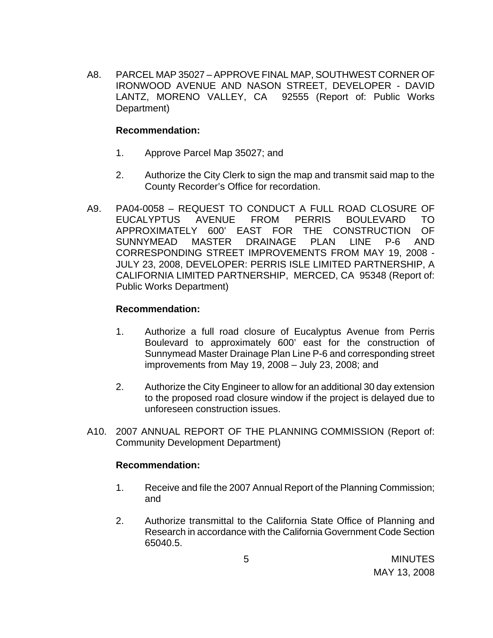A8. PARCEL MAP 35027 – APPROVE FINAL MAP, SOUTHWEST CORNER OF IRONWOOD AVENUE AND NASON STREET, DEVELOPER - DAVID LANTZ, MORENO VALLEY, CA 92555 (Report of: Public Works Department)

### **Recommendation:**

- 1. Approve Parcel Map 35027; and
- 2. Authorize the City Clerk to sign the map and transmit said map to the County Recorder's Office for recordation.
- A9. PA04-0058 REQUEST TO CONDUCT A FULL ROAD CLOSURE OF EUCALYPTUS AVENUE FROM PERRIS BOULEVARD TO APPROXIMATELY 600' EAST FOR THE CONSTRUCTION OF SUNNYMEAD MASTER DRAINAGE PLAN LINE P-6 AND CORRESPONDING STREET IMPROVEMENTS FROM MAY 19, 2008 - JULY 23, 2008, DEVELOPER: PERRIS ISLE LIMITED PARTNERSHIP, A CALIFORNIA LIMITED PARTNERSHIP, MERCED, CA 95348 (Report of: Public Works Department)

## **Recommendation:**

- 1. Authorize a full road closure of Eucalyptus Avenue from Perris Boulevard to approximately 600' east for the construction of Sunnymead Master Drainage Plan Line P-6 and corresponding street improvements from May 19, 2008 – July 23, 2008; and
- 2. Authorize the City Engineer to allow for an additional 30 day extension to the proposed road closure window if the project is delayed due to unforeseen construction issues.
- A10. 2007 ANNUAL REPORT OF THE PLANNING COMMISSION (Report of: Community Development Department)

### **Recommendation:**

- 1. Receive and file the 2007 Annual Report of the Planning Commission; and
- 2. Authorize transmittal to the California State Office of Planning and Research in accordance with the California Government Code Section 65040.5.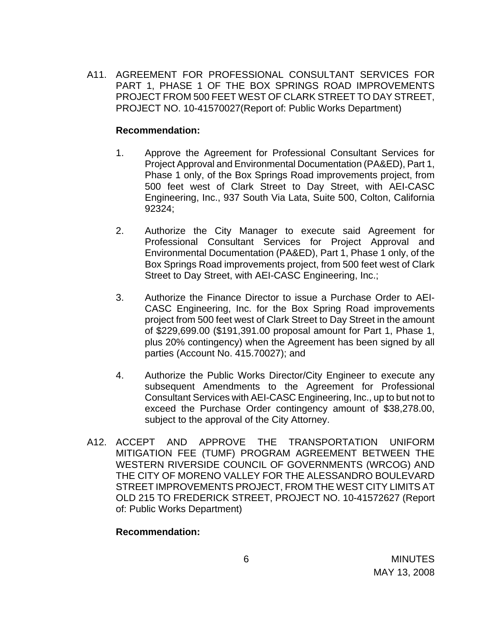A11. AGREEMENT FOR PROFESSIONAL CONSULTANT SERVICES FOR PART 1, PHASE 1 OF THE BOX SPRINGS ROAD IMPROVEMENTS PROJECT FROM 500 FEET WEST OF CLARK STREET TO DAY STREET, PROJECT NO. 10-41570027(Report of: Public Works Department)

#### **Recommendation:**

- 1. Approve the Agreement for Professional Consultant Services for Project Approval and Environmental Documentation (PA&ED), Part 1, Phase 1 only, of the Box Springs Road improvements project, from 500 feet west of Clark Street to Day Street, with AEI-CASC Engineering, Inc., 937 South Via Lata, Suite 500, Colton, California 92324;
- 2. Authorize the City Manager to execute said Agreement for Professional Consultant Services for Project Approval and Environmental Documentation (PA&ED), Part 1, Phase 1 only, of the Box Springs Road improvements project, from 500 feet west of Clark Street to Day Street, with AEI-CASC Engineering, Inc.;
- 3. Authorize the Finance Director to issue a Purchase Order to AEI-CASC Engineering, Inc. for the Box Spring Road improvements project from 500 feet west of Clark Street to Day Street in the amount of \$229,699.00 (\$191,391.00 proposal amount for Part 1, Phase 1, plus 20% contingency) when the Agreement has been signed by all parties (Account No. 415.70027); and
- 4. Authorize the Public Works Director/City Engineer to execute any subsequent Amendments to the Agreement for Professional Consultant Services with AEI-CASC Engineering, Inc., up to but not to exceed the Purchase Order contingency amount of \$38,278.00, subject to the approval of the City Attorney.
- A12. ACCEPT AND APPROVE THE TRANSPORTATION UNIFORM MITIGATION FEE (TUMF) PROGRAM AGREEMENT BETWEEN THE WESTERN RIVERSIDE COUNCIL OF GOVERNMENTS (WRCOG) AND THE CITY OF MORENO VALLEY FOR THE ALESSANDRO BOULEVARD STREET IMPROVEMENTS PROJECT, FROM THE WEST CITY LIMITS AT OLD 215 TO FREDERICK STREET, PROJECT NO. 10-41572627 (Report of: Public Works Department)

#### **Recommendation:**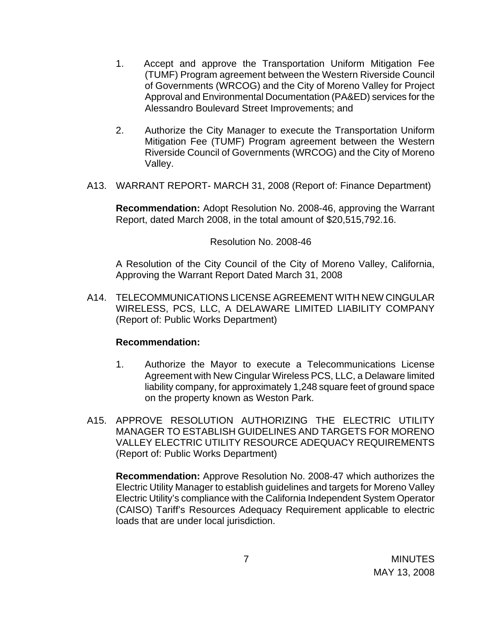- 1. Accept and approve the Transportation Uniform Mitigation Fee (TUMF) Program agreement between the Western Riverside Council of Governments (WRCOG) and the City of Moreno Valley for Project Approval and Environmental Documentation (PA&ED) services for the Alessandro Boulevard Street Improvements; and
- 2. Authorize the City Manager to execute the Transportation Uniform Mitigation Fee (TUMF) Program agreement between the Western Riverside Council of Governments (WRCOG) and the City of Moreno Valley.
- A13. WARRANT REPORT- MARCH 31, 2008 (Report of: Finance Department)

**Recommendation:** Adopt Resolution No. 2008-46, approving the Warrant Report, dated March 2008, in the total amount of \$20,515,792.16.

#### Resolution No. 2008-46

A Resolution of the City Council of the City of Moreno Valley, California, Approving the Warrant Report Dated March 31, 2008

A14. TELECOMMUNICATIONS LICENSE AGREEMENT WITH NEW CINGULAR WIRELESS, PCS, LLC, A DELAWARE LIMITED LIABILITY COMPANY (Report of: Public Works Department)

### **Recommendation:**

- 1. Authorize the Mayor to execute a Telecommunications License Agreement with New Cingular Wireless PCS, LLC, a Delaware limited liability company, for approximately 1,248 square feet of ground space on the property known as Weston Park.
- A15. APPROVE RESOLUTION AUTHORIZING THE ELECTRIC UTILITY MANAGER TO ESTABLISH GUIDELINES AND TARGETS FOR MORENO VALLEY ELECTRIC UTILITY RESOURCE ADEQUACY REQUIREMENTS (Report of: Public Works Department)

**Recommendation:** Approve Resolution No. 2008-47 which authorizes the Electric Utility Manager to establish guidelines and targets for Moreno Valley Electric Utility's compliance with the California Independent System Operator (CAISO) Tariff's Resources Adequacy Requirement applicable to electric loads that are under local jurisdiction.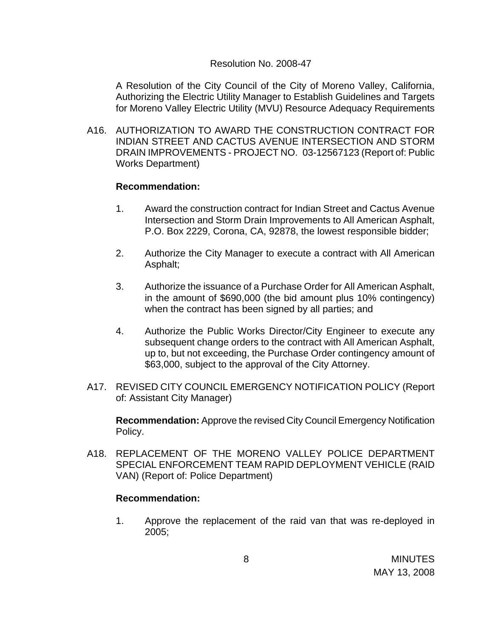#### Resolution No. 2008-47

A Resolution of the City Council of the City of Moreno Valley, California, Authorizing the Electric Utility Manager to Establish Guidelines and Targets for Moreno Valley Electric Utility (MVU) Resource Adequacy Requirements

A16. AUTHORIZATION TO AWARD THE CONSTRUCTION CONTRACT FOR INDIAN STREET AND CACTUS AVENUE INTERSECTION AND STORM DRAIN IMPROVEMENTS - PROJECT NO. 03-12567123 (Report of: Public Works Department)

#### **Recommendation:**

- 1. Award the construction contract for Indian Street and Cactus Avenue Intersection and Storm Drain Improvements to All American Asphalt, P.O. Box 2229, Corona, CA, 92878, the lowest responsible bidder;
- 2. Authorize the City Manager to execute a contract with All American Asphalt;
- 3. Authorize the issuance of a Purchase Order for All American Asphalt, in the amount of \$690,000 (the bid amount plus 10% contingency) when the contract has been signed by all parties; and
- 4. Authorize the Public Works Director/City Engineer to execute any subsequent change orders to the contract with All American Asphalt, up to, but not exceeding, the Purchase Order contingency amount of \$63,000, subject to the approval of the City Attorney.
- A17. REVISED CITY COUNCIL EMERGENCY NOTIFICATION POLICY (Report of: Assistant City Manager)

**Recommendation:** Approve the revised City Council Emergency Notification Policy.

A18. REPLACEMENT OF THE MORENO VALLEY POLICE DEPARTMENT SPECIAL ENFORCEMENT TEAM RAPID DEPLOYMENT VEHICLE (RAID VAN) (Report of: Police Department)

### **Recommendation:**

1. Approve the replacement of the raid van that was re-deployed in 2005;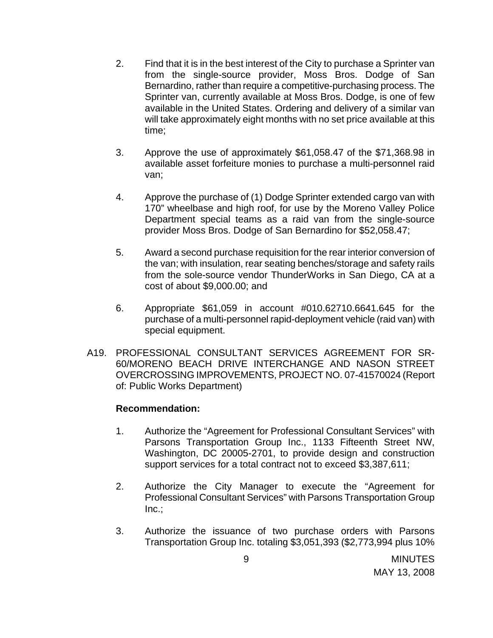- 2. Find that it is in the best interest of the City to purchase a Sprinter van from the single-source provider, Moss Bros. Dodge of San Bernardino, rather than require a competitive-purchasing process. The Sprinter van, currently available at Moss Bros. Dodge, is one of few available in the United States. Ordering and delivery of a similar van will take approximately eight months with no set price available at this time;
- 3. Approve the use of approximately \$61,058.47 of the \$71,368.98 in available asset forfeiture monies to purchase a multi-personnel raid van;
- 4. Approve the purchase of (1) Dodge Sprinter extended cargo van with 170" wheelbase and high roof, for use by the Moreno Valley Police Department special teams as a raid van from the single-source provider Moss Bros. Dodge of San Bernardino for \$52,058.47;
- 5. Award a second purchase requisition for the rear interior conversion of the van; with insulation, rear seating benches/storage and safety rails from the sole-source vendor ThunderWorks in San Diego, CA at a cost of about \$9,000.00; and
- 6. Appropriate \$61,059 in account #010.62710.6641.645 for the purchase of a multi-personnel rapid-deployment vehicle (raid van) with special equipment.
- A19. PROFESSIONAL CONSULTANT SERVICES AGREEMENT FOR SR-60/MORENO BEACH DRIVE INTERCHANGE AND NASON STREET OVERCROSSING IMPROVEMENTS, PROJECT NO. 07-41570024 (Report of: Public Works Department)

### **Recommendation:**

- 1. Authorize the "Agreement for Professional Consultant Services" with Parsons Transportation Group Inc., 1133 Fifteenth Street NW, Washington, DC 20005-2701, to provide design and construction support services for a total contract not to exceed \$3,387,611;
- 2. Authorize the City Manager to execute the "Agreement for Professional Consultant Services" with Parsons Transportation Group  $Inc.;$
- 3. Authorize the issuance of two purchase orders with Parsons Transportation Group Inc. totaling \$3,051,393 (\$2,773,994 plus 10%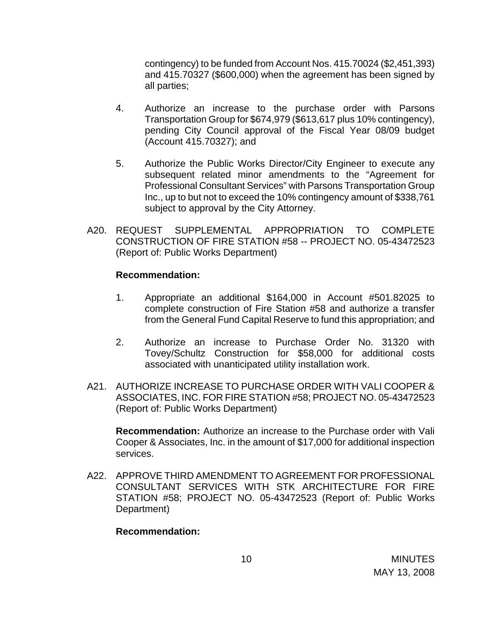contingency) to be funded from Account Nos. 415.70024 (\$2,451,393) and 415.70327 (\$600,000) when the agreement has been signed by all parties;

- 4. Authorize an increase to the purchase order with Parsons Transportation Group for \$674,979 (\$613,617 plus 10% contingency), pending City Council approval of the Fiscal Year 08/09 budget (Account 415.70327); and
- 5. Authorize the Public Works Director/City Engineer to execute any subsequent related minor amendments to the "Agreement for Professional Consultant Services" with Parsons Transportation Group Inc., up to but not to exceed the 10% contingency amount of \$338,761 subject to approval by the City Attorney.
- A20. REQUEST SUPPLEMENTAL APPROPRIATION TO COMPLETE CONSTRUCTION OF FIRE STATION #58 -- PROJECT NO. 05-43472523 (Report of: Public Works Department)

#### **Recommendation:**

- 1. Appropriate an additional \$164,000 in Account #501.82025 to complete construction of Fire Station #58 and authorize a transfer from the General Fund Capital Reserve to fund this appropriation; and
- 2. Authorize an increase to Purchase Order No. 31320 with Tovey/Schultz Construction for \$58,000 for additional costs associated with unanticipated utility installation work.
- A21. AUTHORIZE INCREASE TO PURCHASE ORDER WITH VALI COOPER & ASSOCIATES, INC. FOR FIRE STATION #58; PROJECT NO. 05-43472523 (Report of: Public Works Department)

**Recommendation:** Authorize an increase to the Purchase order with Vali Cooper & Associates, Inc. in the amount of \$17,000 for additional inspection services.

A22. APPROVE THIRD AMENDMENT TO AGREEMENT FOR PROFESSIONAL CONSULTANT SERVICES WITH STK ARCHITECTURE FOR FIRE STATION #58; PROJECT NO. 05-43472523 (Report of: Public Works Department)

#### **Recommendation:**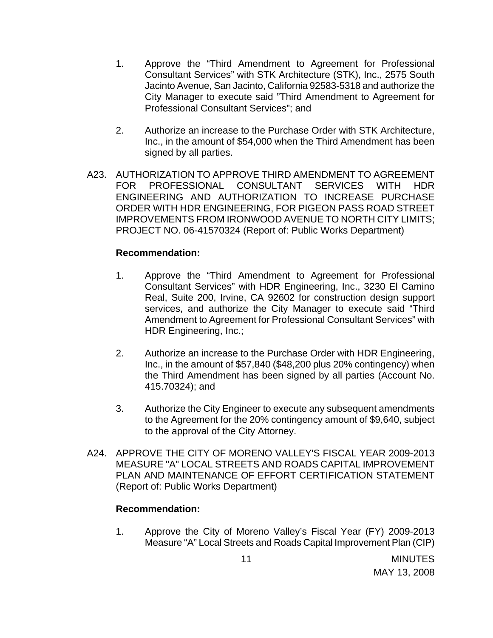- 1. Approve the "Third Amendment to Agreement for Professional Consultant Services" with STK Architecture (STK), Inc., 2575 South Jacinto Avenue, San Jacinto, California 92583-5318 and authorize the City Manager to execute said "Third Amendment to Agreement for Professional Consultant Services"; and
- 2. Authorize an increase to the Purchase Order with STK Architecture, Inc., in the amount of \$54,000 when the Third Amendment has been signed by all parties.
- A23. AUTHORIZATION TO APPROVE THIRD AMENDMENT TO AGREEMENT FOR PROFESSIONAL CONSULTANT SERVICES WITH HDR ENGINEERING AND AUTHORIZATION TO INCREASE PURCHASE ORDER WITH HDR ENGINEERING, FOR PIGEON PASS ROAD STREET IMPROVEMENTS FROM IRONWOOD AVENUE TO NORTH CITY LIMITS; PROJECT NO. 06-41570324 (Report of: Public Works Department)

### **Recommendation:**

- 1. Approve the "Third Amendment to Agreement for Professional Consultant Services" with HDR Engineering, Inc., 3230 El Camino Real, Suite 200, Irvine, CA 92602 for construction design support services, and authorize the City Manager to execute said "Third Amendment to Agreement for Professional Consultant Services" with HDR Engineering, Inc.;
- 2. Authorize an increase to the Purchase Order with HDR Engineering, Inc., in the amount of \$57,840 (\$48,200 plus 20% contingency) when the Third Amendment has been signed by all parties (Account No. 415.70324); and
- 3. Authorize the City Engineer to execute any subsequent amendments to the Agreement for the 20% contingency amount of \$9,640, subject to the approval of the City Attorney.
- A24. APPROVE THE CITY OF MORENO VALLEY'S FISCAL YEAR 2009-2013 MEASURE "A" LOCAL STREETS AND ROADS CAPITAL IMPROVEMENT PLAN AND MAINTENANCE OF EFFORT CERTIFICATION STATEMENT (Report of: Public Works Department)

#### **Recommendation:**

1. Approve the City of Moreno Valley's Fiscal Year (FY) 2009-2013 Measure "A" Local Streets and Roads Capital Improvement Plan (CIP)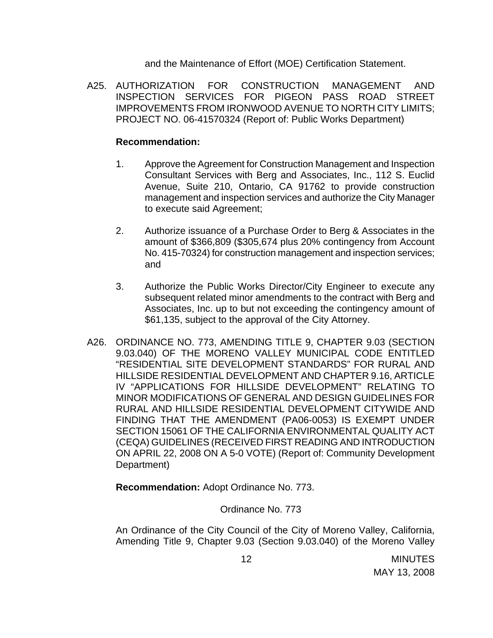and the Maintenance of Effort (MOE) Certification Statement.

A25. AUTHORIZATION FOR CONSTRUCTION MANAGEMENT AND INSPECTION SERVICES FOR PIGEON PASS ROAD STREET IMPROVEMENTS FROM IRONWOOD AVENUE TO NORTH CITY LIMITS; PROJECT NO. 06-41570324 (Report of: Public Works Department)

#### **Recommendation:**

- 1. Approve the Agreement for Construction Management and Inspection Consultant Services with Berg and Associates, Inc., 112 S. Euclid Avenue, Suite 210, Ontario, CA 91762 to provide construction management and inspection services and authorize the City Manager to execute said Agreement;
- 2. Authorize issuance of a Purchase Order to Berg & Associates in the amount of \$366,809 (\$305,674 plus 20% contingency from Account No. 415-70324) for construction management and inspection services; and
- 3. Authorize the Public Works Director/City Engineer to execute any subsequent related minor amendments to the contract with Berg and Associates, Inc. up to but not exceeding the contingency amount of \$61,135, subject to the approval of the City Attorney.
- A26. ORDINANCE NO. 773, AMENDING TITLE 9, CHAPTER 9.03 (SECTION 9.03.040) OF THE MORENO VALLEY MUNICIPAL CODE ENTITLED "RESIDENTIAL SITE DEVELOPMENT STANDARDS" FOR RURAL AND HILLSIDE RESIDENTIAL DEVELOPMENT AND CHAPTER 9.16, ARTICLE IV "APPLICATIONS FOR HILLSIDE DEVELOPMENT" RELATING TO MINOR MODIFICATIONS OF GENERAL AND DESIGN GUIDELINES FOR RURAL AND HILLSIDE RESIDENTIAL DEVELOPMENT CITYWIDE AND FINDING THAT THE AMENDMENT (PA06-0053) IS EXEMPT UNDER SECTION 15061 OF THE CALIFORNIA ENVIRONMENTAL QUALITY ACT (CEQA) GUIDELINES (RECEIVED FIRST READING AND INTRODUCTION ON APRIL 22, 2008 ON A 5-0 VOTE) (Report of: Community Development Department)

 **Recommendation:** Adopt Ordinance No. 773.

### Ordinance No. 773

An Ordinance of the City Council of the City of Moreno Valley, California, Amending Title 9, Chapter 9.03 (Section 9.03.040) of the Moreno Valley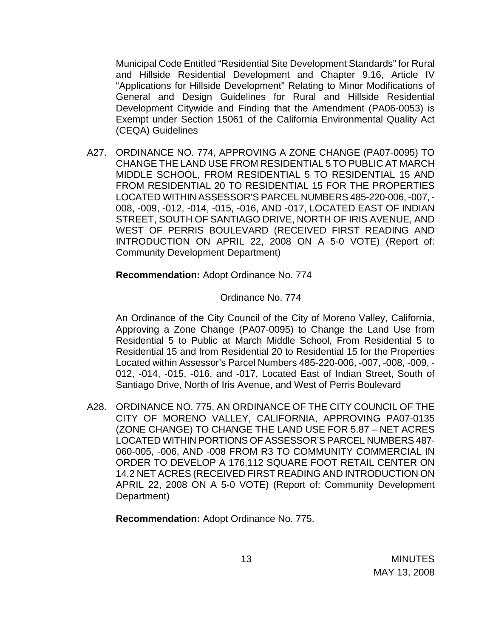Municipal Code Entitled "Residential Site Development Standards" for Rural and Hillside Residential Development and Chapter 9.16, Article IV "Applications for Hillside Development" Relating to Minor Modifications of General and Design Guidelines for Rural and Hillside Residential Development Citywide and Finding that the Amendment (PA06-0053) is Exempt under Section 15061 of the California Environmental Quality Act (CEQA) Guidelines

A27. ORDINANCE NO. 774, APPROVING A ZONE CHANGE (PA07-0095) TO CHANGE THE LAND USE FROM RESIDENTIAL 5 TO PUBLIC AT MARCH MIDDLE SCHOOL, FROM RESIDENTIAL 5 TO RESIDENTIAL 15 AND FROM RESIDENTIAL 20 TO RESIDENTIAL 15 FOR THE PROPERTIES LOCATED WITHIN ASSESSOR'S PARCEL NUMBERS 485-220-006, -007, - 008, -009, -012, -014, -015, -016, AND -017, LOCATED EAST OF INDIAN STREET, SOUTH OF SANTIAGO DRIVE, NORTH OF IRIS AVENUE, AND WEST OF PERRIS BOULEVARD (RECEIVED FIRST READING AND INTRODUCTION ON APRIL 22, 2008 ON A 5-0 VOTE) (Report of: Community Development Department)

**Recommendation:** Adopt Ordinance No. 774

Ordinance No. 774

An Ordinance of the City Council of the City of Moreno Valley, California, Approving a Zone Change (PA07-0095) to Change the Land Use from Residential 5 to Public at March Middle School, From Residential 5 to Residential 15 and from Residential 20 to Residential 15 for the Properties Located within Assessor's Parcel Numbers 485-220-006, -007, -008, -009, - 012, -014, -015, -016, and -017, Located East of Indian Street, South of Santiago Drive, North of Iris Avenue, and West of Perris Boulevard

A28. ORDINANCE NO. 775, AN ORDINANCE OF THE CITY COUNCIL OF THE CITY OF MORENO VALLEY, CALIFORNIA, APPROVING PA07-0135 (ZONE CHANGE) TO CHANGE THE LAND USE FOR 5.87 – NET ACRES LOCATED WITHIN PORTIONS OF ASSESSOR'S PARCEL NUMBERS 487- 060-005, -006, AND -008 FROM R3 TO COMMUNITY COMMERCIAL IN ORDER TO DEVELOP A 176,112 SQUARE FOOT RETAIL CENTER ON 14.2 NET ACRES (RECEIVED FIRST READING AND INTRODUCTION ON APRIL 22, 2008 ON A 5-0 VOTE) (Report of: Community Development Department)

**Recommendation:** Adopt Ordinance No. 775.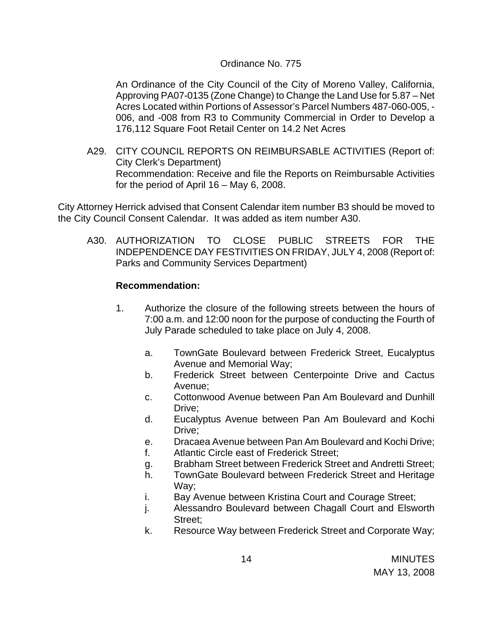#### Ordinance No. 775

An Ordinance of the City Council of the City of Moreno Valley, California, Approving PA07-0135 (Zone Change) to Change the Land Use for 5.87 – Net Acres Located within Portions of Assessor's Parcel Numbers 487-060-005, - 006, and -008 from R3 to Community Commercial in Order to Develop a 176,112 Square Foot Retail Center on 14.2 Net Acres

A29. CITY COUNCIL REPORTS ON REIMBURSABLE ACTIVITIES (Report of: City Clerk's Department) Recommendation: Receive and file the Reports on Reimbursable Activities for the period of April 16 – May 6, 2008.

City Attorney Herrick advised that Consent Calendar item number B3 should be moved to the City Council Consent Calendar. It was added as item number A30.

A30. AUTHORIZATION TO CLOSE PUBLIC STREETS FOR THE INDEPENDENCE DAY FESTIVITIES ON FRIDAY, JULY 4, 2008 (Report of: Parks and Community Services Department)

### **Recommendation:**

- 1. Authorize the closure of the following streets between the hours of 7:00 a.m. and 12:00 noon for the purpose of conducting the Fourth of July Parade scheduled to take place on July 4, 2008.
	- a. TownGate Boulevard between Frederick Street, Eucalyptus Avenue and Memorial Way;
	- b. Frederick Street between Centerpointe Drive and Cactus Avenue;
	- c. Cottonwood Avenue between Pan Am Boulevard and Dunhill Drive;
	- d. Eucalyptus Avenue between Pan Am Boulevard and Kochi Drive;
	- e. Dracaea Avenue between Pan Am Boulevard and Kochi Drive;
	- f. Atlantic Circle east of Frederick Street;
	- g. Brabham Street between Frederick Street and Andretti Street;
	- h. TownGate Boulevard between Frederick Street and Heritage Way;
	- i. Bay Avenue between Kristina Court and Courage Street;
	- j. Alessandro Boulevard between Chagall Court and Elsworth Street;
	- k. Resource Way between Frederick Street and Corporate Way;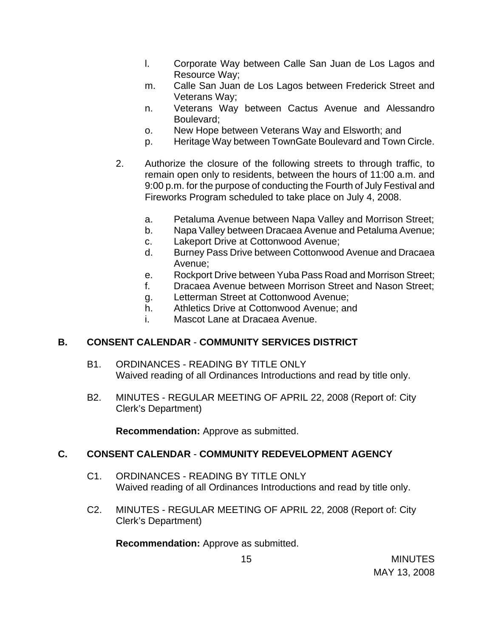- l. Corporate Way between Calle San Juan de Los Lagos and Resource Way;
- m. Calle San Juan de Los Lagos between Frederick Street and Veterans Way;
- n. Veterans Way between Cactus Avenue and Alessandro Boulevard;
- o. New Hope between Veterans Way and Elsworth; and
- p. Heritage Way between TownGate Boulevard and Town Circle.
- 2. Authorize the closure of the following streets to through traffic, to remain open only to residents, between the hours of 11:00 a.m. and 9:00 p.m. for the purpose of conducting the Fourth of July Festival and Fireworks Program scheduled to take place on July 4, 2008.
	- a. Petaluma Avenue between Napa Valley and Morrison Street;
	- b. Napa Valley between Dracaea Avenue and Petaluma Avenue;
	- c. Lakeport Drive at Cottonwood Avenue;
	- d. Burney Pass Drive between Cottonwood Avenue and Dracaea Avenue;
	- e. Rockport Drive between Yuba Pass Road and Morrison Street;
	- f. Dracaea Avenue between Morrison Street and Nason Street;
	- g. Letterman Street at Cottonwood Avenue;
	- h. Athletics Drive at Cottonwood Avenue; and
	- i. Mascot Lane at Dracaea Avenue.

# **B. CONSENT CALENDAR** - **COMMUNITY SERVICES DISTRICT**

- B1. ORDINANCES READING BY TITLE ONLY Waived reading of all Ordinances Introductions and read by title only.
- B2. MINUTES REGULAR MEETING OF APRIL 22, 2008 (Report of: City Clerk's Department)

**Recommendation:** Approve as submitted.

# **C. CONSENT CALENDAR** - **COMMUNITY REDEVELOPMENT AGENCY**

- C1. ORDINANCES READING BY TITLE ONLY Waived reading of all Ordinances Introductions and read by title only.
- C2. MINUTES REGULAR MEETING OF APRIL 22, 2008 (Report of: City Clerk's Department)

**Recommendation:** Approve as submitted.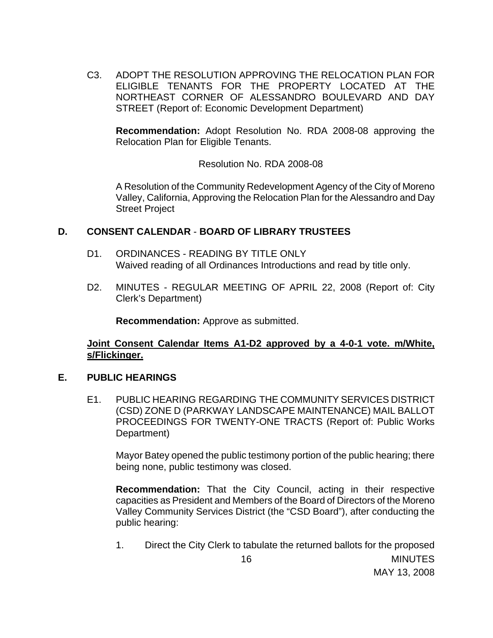C3. ADOPT THE RESOLUTION APPROVING THE RELOCATION PLAN FOR ELIGIBLE TENANTS FOR THE PROPERTY LOCATED AT THE NORTHEAST CORNER OF ALESSANDRO BOULEVARD AND DAY STREET (Report of: Economic Development Department)

**Recommendation:** Adopt Resolution No. RDA 2008-08 approving the Relocation Plan for Eligible Tenants.

Resolution No. RDA 2008-08

A Resolution of the Community Redevelopment Agency of the City of Moreno Valley, California, Approving the Relocation Plan for the Alessandro and Day Street Project

### **D. CONSENT CALENDAR** - **BOARD OF LIBRARY TRUSTEES**

- D1. ORDINANCES READING BY TITLE ONLY Waived reading of all Ordinances Introductions and read by title only.
- D2. MINUTES REGULAR MEETING OF APRIL 22, 2008 (Report of: City Clerk's Department)

**Recommendation:** Approve as submitted.

**Joint Consent Calendar Items A1-D2 approved by a 4-0-1 vote. m/White, s/Flickinger.** 

#### **E. PUBLIC HEARINGS**

E1. PUBLIC HEARING REGARDING THE COMMUNITY SERVICES DISTRICT (CSD) ZONE D (PARKWAY LANDSCAPE MAINTENANCE) MAIL BALLOT PROCEEDINGS FOR TWENTY-ONE TRACTS (Report of: Public Works Department)

 Mayor Batey opened the public testimony portion of the public hearing; there being none, public testimony was closed.

 **Recommendation:** That the City Council, acting in their respective capacities as President and Members of the Board of Directors of the Moreno Valley Community Services District (the "CSD Board"), after conducting the public hearing:

**MINUTES** MAY 13, 2008 16 1. Direct the City Clerk to tabulate the returned ballots for the proposed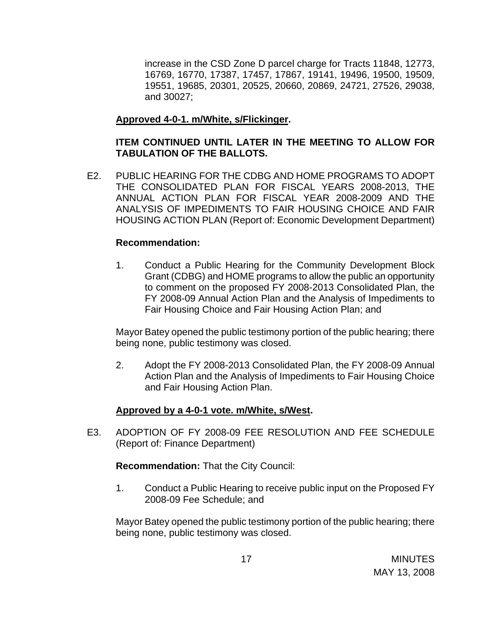increase in the CSD Zone D parcel charge for Tracts 11848, 12773, 16769, 16770, 17387, 17457, 17867, 19141, 19496, 19500, 19509, 19551, 19685, 20301, 20525, 20660, 20869, 24721, 27526, 29038, and 30027;

## **Approved 4-0-1. m/White, s/Flickinger.**

# **ITEM CONTINUED UNTIL LATER IN THE MEETING TO ALLOW FOR TABULATION OF THE BALLOTS.**

E2. PUBLIC HEARING FOR THE CDBG AND HOME PROGRAMS TO ADOPT THE CONSOLIDATED PLAN FOR FISCAL YEARS 2008-2013, THE ANNUAL ACTION PLAN FOR FISCAL YEAR 2008-2009 AND THE ANALYSIS OF IMPEDIMENTS TO FAIR HOUSING CHOICE AND FAIR HOUSING ACTION PLAN (Report of: Economic Development Department)

### **Recommendation:**

1. Conduct a Public Hearing for the Community Development Block Grant (CDBG) and HOME programs to allow the public an opportunity to comment on the proposed FY 2008-2013 Consolidated Plan, the FY 2008-09 Annual Action Plan and the Analysis of Impediments to Fair Housing Choice and Fair Housing Action Plan; and

 Mayor Batey opened the public testimony portion of the public hearing; there being none, public testimony was closed.

2. Adopt the FY 2008-2013 Consolidated Plan, the FY 2008-09 Annual Action Plan and the Analysis of Impediments to Fair Housing Choice and Fair Housing Action Plan.

### **Approved by a 4-0-1 vote. m/White, s/West.**

E3. ADOPTION OF FY 2008-09 FEE RESOLUTION AND FEE SCHEDULE (Report of: Finance Department)

**Recommendation:** That the City Council:

1. Conduct a Public Hearing to receive public input on the Proposed FY 2008-09 Fee Schedule; and

 Mayor Batey opened the public testimony portion of the public hearing; there being none, public testimony was closed.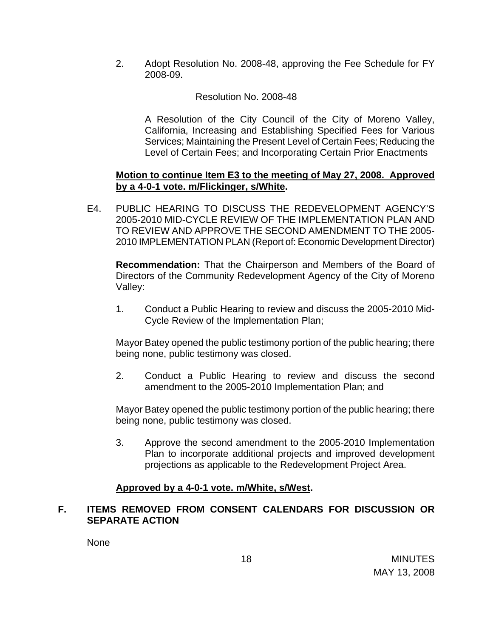2. Adopt Resolution No. 2008-48, approving the Fee Schedule for FY 2008-09.

## Resolution No. 2008-48

A Resolution of the City Council of the City of Moreno Valley, California, Increasing and Establishing Specified Fees for Various Services; Maintaining the Present Level of Certain Fees; Reducing the Level of Certain Fees; and Incorporating Certain Prior Enactments

### **Motion to continue Item E3 to the meeting of May 27, 2008. Approved by a 4-0-1 vote. m/Flickinger, s/White.**

E4. PUBLIC HEARING TO DISCUSS THE REDEVELOPMENT AGENCY'S 2005-2010 MID-CYCLE REVIEW OF THE IMPLEMENTATION PLAN AND TO REVIEW AND APPROVE THE SECOND AMENDMENT TO THE 2005- 2010 IMPLEMENTATION PLAN (Report of: Economic Development Director)

 **Recommendation:** That the Chairperson and Members of the Board of Directors of the Community Redevelopment Agency of the City of Moreno Valley:

1. Conduct a Public Hearing to review and discuss the 2005-2010 Mid-Cycle Review of the Implementation Plan;

 Mayor Batey opened the public testimony portion of the public hearing; there being none, public testimony was closed.

2. Conduct a Public Hearing to review and discuss the second amendment to the 2005-2010 Implementation Plan; and

 Mayor Batey opened the public testimony portion of the public hearing; there being none, public testimony was closed.

3. Approve the second amendment to the 2005-2010 Implementation Plan to incorporate additional projects and improved development projections as applicable to the Redevelopment Project Area.

### **Approved by a 4-0-1 vote. m/White, s/West.**

# **F. ITEMS REMOVED FROM CONSENT CALENDARS FOR DISCUSSION OR SEPARATE ACTION**

None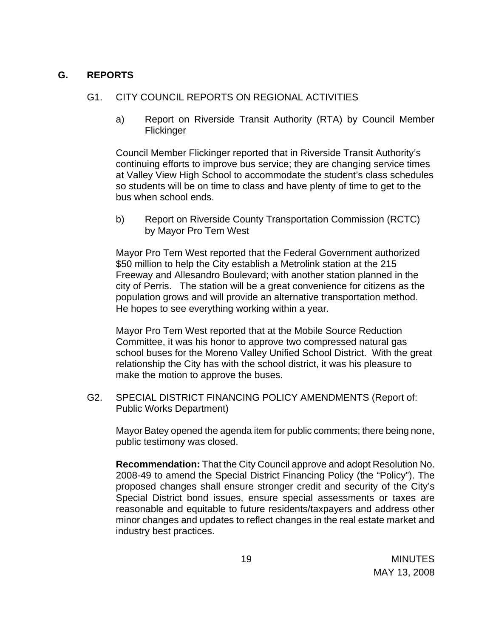## **G. REPORTS**

## G1. CITY COUNCIL REPORTS ON REGIONAL ACTIVITIES

a) Report on Riverside Transit Authority (RTA) by Council Member Flickinger

Council Member Flickinger reported that in Riverside Transit Authority's continuing efforts to improve bus service; they are changing service times at Valley View High School to accommodate the student's class schedules so students will be on time to class and have plenty of time to get to the bus when school ends.

b) Report on Riverside County Transportation Commission (RCTC) by Mayor Pro Tem West

Mayor Pro Tem West reported that the Federal Government authorized \$50 million to help the City establish a Metrolink station at the 215 Freeway and Allesandro Boulevard; with another station planned in the city of Perris. The station will be a great convenience for citizens as the population grows and will provide an alternative transportation method. He hopes to see everything working within a year.

Mayor Pro Tem West reported that at the Mobile Source Reduction Committee, it was his honor to approve two compressed natural gas school buses for the Moreno Valley Unified School District. With the great relationship the City has with the school district, it was his pleasure to make the motion to approve the buses.

G2. SPECIAL DISTRICT FINANCING POLICY AMENDMENTS (Report of: Public Works Department)

 Mayor Batey opened the agenda item for public comments; there being none, public testimony was closed.

**Recommendation:** That the City Council approve and adopt Resolution No. 2008-49 to amend the Special District Financing Policy (the "Policy"). The proposed changes shall ensure stronger credit and security of the City's Special District bond issues, ensure special assessments or taxes are reasonable and equitable to future residents/taxpayers and address other minor changes and updates to reflect changes in the real estate market and industry best practices.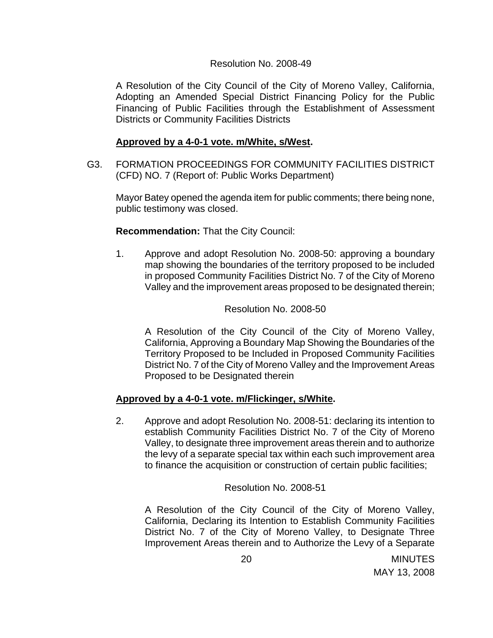#### Resolution No. 2008-49

A Resolution of the City Council of the City of Moreno Valley, California, Adopting an Amended Special District Financing Policy for the Public Financing of Public Facilities through the Establishment of Assessment Districts or Community Facilities Districts

#### **Approved by a 4-0-1 vote. m/White, s/West.**

G3. FORMATION PROCEEDINGS FOR COMMUNITY FACILITIES DISTRICT (CFD) NO. 7 (Report of: Public Works Department)

 Mayor Batey opened the agenda item for public comments; there being none, public testimony was closed.

#### **Recommendation:** That the City Council:

1. Approve and adopt Resolution No. 2008-50: approving a boundary map showing the boundaries of the territory proposed to be included in proposed Community Facilities District No. 7 of the City of Moreno Valley and the improvement areas proposed to be designated therein;

#### Resolution No. 2008-50

A Resolution of the City Council of the City of Moreno Valley, California, Approving a Boundary Map Showing the Boundaries of the Territory Proposed to be Included in Proposed Community Facilities District No. 7 of the City of Moreno Valley and the Improvement Areas Proposed to be Designated therein

### **Approved by a 4-0-1 vote. m/Flickinger, s/White.**

2. Approve and adopt Resolution No. 2008-51: declaring its intention to establish Community Facilities District No. 7 of the City of Moreno Valley, to designate three improvement areas therein and to authorize the levy of a separate special tax within each such improvement area to finance the acquisition or construction of certain public facilities;

Resolution No. 2008-51

A Resolution of the City Council of the City of Moreno Valley, California, Declaring its Intention to Establish Community Facilities District No. 7 of the City of Moreno Valley, to Designate Three Improvement Areas therein and to Authorize the Levy of a Separate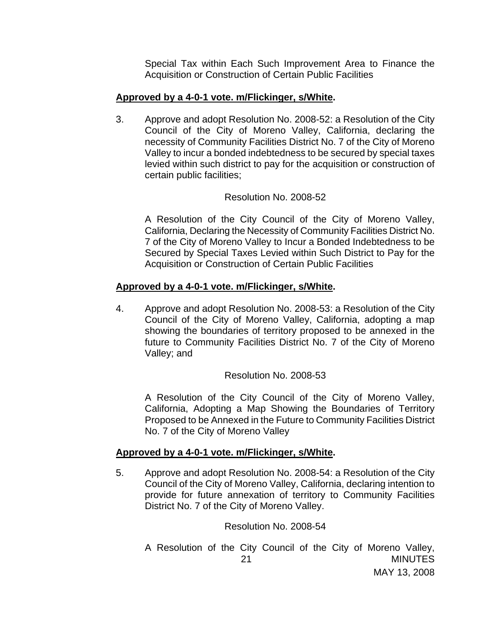Special Tax within Each Such Improvement Area to Finance the Acquisition or Construction of Certain Public Facilities

#### **Approved by a 4-0-1 vote. m/Flickinger, s/White.**

3. Approve and adopt Resolution No. 2008-52: a Resolution of the City Council of the City of Moreno Valley, California, declaring the necessity of Community Facilities District No. 7 of the City of Moreno Valley to incur a bonded indebtedness to be secured by special taxes levied within such district to pay for the acquisition or construction of certain public facilities;

#### Resolution No. 2008-52

A Resolution of the City Council of the City of Moreno Valley, California, Declaring the Necessity of Community Facilities District No. 7 of the City of Moreno Valley to Incur a Bonded Indebtedness to be Secured by Special Taxes Levied within Such District to Pay for the Acquisition or Construction of Certain Public Facilities

#### **Approved by a 4-0-1 vote. m/Flickinger, s/White.**

4. Approve and adopt Resolution No. 2008-53: a Resolution of the City Council of the City of Moreno Valley, California, adopting a map showing the boundaries of territory proposed to be annexed in the future to Community Facilities District No. 7 of the City of Moreno Valley; and

Resolution No. 2008-53

A Resolution of the City Council of the City of Moreno Valley, California, Adopting a Map Showing the Boundaries of Territory Proposed to be Annexed in the Future to Community Facilities District No. 7 of the City of Moreno Valley

#### **Approved by a 4-0-1 vote. m/Flickinger, s/White.**

5. Approve and adopt Resolution No. 2008-54: a Resolution of the City Council of the City of Moreno Valley, California, declaring intention to provide for future annexation of territory to Community Facilities District No. 7 of the City of Moreno Valley.

Resolution No. 2008-54

MINUTES MAY 13, 2008 21 A Resolution of the City Council of the City of Moreno Valley,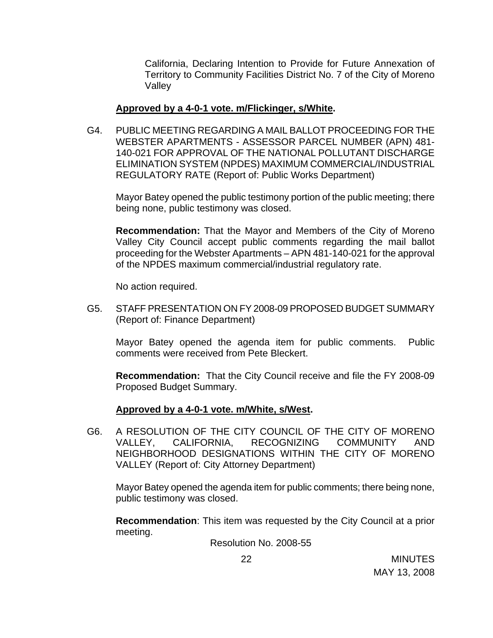California, Declaring Intention to Provide for Future Annexation of Territory to Community Facilities District No. 7 of the City of Moreno Valley

#### **Approved by a 4-0-1 vote. m/Flickinger, s/White.**

G4. PUBLIC MEETING REGARDING A MAIL BALLOT PROCEEDING FOR THE WEBSTER APARTMENTS - ASSESSOR PARCEL NUMBER (APN) 481- 140-021 FOR APPROVAL OF THE NATIONAL POLLUTANT DISCHARGE ELIMINATION SYSTEM (NPDES) MAXIMUM COMMERCIAL/INDUSTRIAL REGULATORY RATE (Report of: Public Works Department)

 Mayor Batey opened the public testimony portion of the public meeting; there being none, public testimony was closed.

**Recommendation:** That the Mayor and Members of the City of Moreno Valley City Council accept public comments regarding the mail ballot proceeding for the Webster Apartments – APN 481-140-021 for the approval of the NPDES maximum commercial/industrial regulatory rate.

No action required.

G5. STAFF PRESENTATION ON FY 2008-09 PROPOSED BUDGET SUMMARY (Report of: Finance Department)

 Mayor Batey opened the agenda item for public comments. Public comments were received from Pete Bleckert.

**Recommendation:** That the City Council receive and file the FY 2008-09 Proposed Budget Summary.

### **Approved by a 4-0-1 vote. m/White, s/West.**

G6. A RESOLUTION OF THE CITY COUNCIL OF THE CITY OF MORENO VALLEY, CALIFORNIA, RECOGNIZING COMMUNITY AND NEIGHBORHOOD DESIGNATIONS WITHIN THE CITY OF MORENO VALLEY (Report of: City Attorney Department)

 Mayor Batey opened the agenda item for public comments; there being none, public testimony was closed.

**Recommendation**: This item was requested by the City Council at a prior meeting.

Resolution No. 2008-55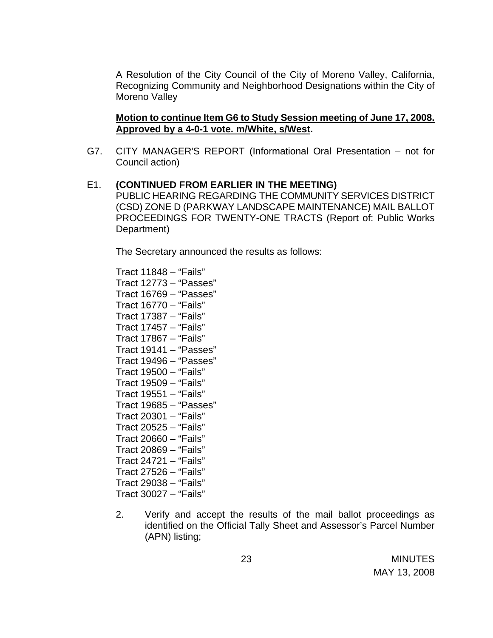A Resolution of the City Council of the City of Moreno Valley, California, Recognizing Community and Neighborhood Designations within the City of Moreno Valley

### **Motion to continue Item G6 to Study Session meeting of June 17, 2008. Approved by a 4-0-1 vote. m/White, s/West.**

G7. CITY MANAGER'S REPORT (Informational Oral Presentation – not for Council action)

#### E1. **(CONTINUED FROM EARLIER IN THE MEETING)**  PUBLIC HEARING REGARDING THE COMMUNITY SERVICES DISTRICT (CSD) ZONE D (PARKWAY LANDSCAPE MAINTENANCE) MAIL BALLOT PROCEEDINGS FOR TWENTY-ONE TRACTS (Report of: Public Works

The Secretary announced the results as follows:

Tract 11848 – "Fails" Tract 12773 – "Passes" Tract 16769 – "Passes" Tract 16770 – "Fails" Tract 17387 – "Fails" Tract 17457 – "Fails" Tract 17867 – "Fails" Tract 19141 – "Passes" Tract 19496 – "Passes" Tract 19500 – "Fails" Tract 19509 – "Fails" Tract 19551 – "Fails" Tract 19685 – "Passes" Tract 20301 – "Fails" Tract 20525 – "Fails" Tract 20660 – "Fails" Tract 20869 – "Fails" Tract 24721 – "Fails" Tract 27526 – "Fails" Tract 29038 – "Fails" Tract 30027 – "Fails"

Department)

2. Verify and accept the results of the mail ballot proceedings as identified on the Official Tally Sheet and Assessor's Parcel Number (APN) listing;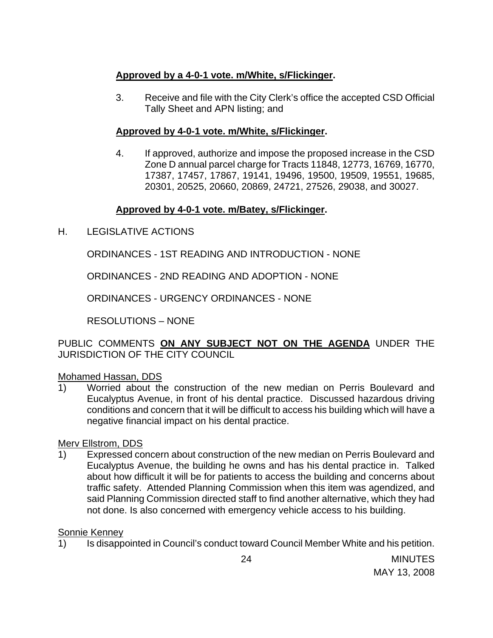# **Approved by a 4-0-1 vote. m/White, s/Flickinger.**

3. Receive and file with the City Clerk's office the accepted CSD Official Tally Sheet and APN listing; and

# **Approved by 4-0-1 vote. m/White, s/Flickinger.**

4. If approved, authorize and impose the proposed increase in the CSD Zone D annual parcel charge for Tracts 11848, 12773, 16769, 16770, 17387, 17457, 17867, 19141, 19496, 19500, 19509, 19551, 19685, 20301, 20525, 20660, 20869, 24721, 27526, 29038, and 30027.

# **Approved by 4-0-1 vote. m/Batey, s/Flickinger.**

H. LEGISLATIVE ACTIONS

ORDINANCES - 1ST READING AND INTRODUCTION - NONE

ORDINANCES - 2ND READING AND ADOPTION - NONE

ORDINANCES - URGENCY ORDINANCES - NONE

RESOLUTIONS – NONE

PUBLIC COMMENTS **ON ANY SUBJECT NOT ON THE AGENDA** UNDER THE JURISDICTION OF THE CITY COUNCIL

# Mohamed Hassan, DDS

1) Worried about the construction of the new median on Perris Boulevard and Eucalyptus Avenue, in front of his dental practice. Discussed hazardous driving conditions and concern that it will be difficult to access his building which will have a negative financial impact on his dental practice.

# Merv Ellstrom, DDS

1) Expressed concern about construction of the new median on Perris Boulevard and Eucalyptus Avenue, the building he owns and has his dental practice in. Talked about how difficult it will be for patients to access the building and concerns about traffic safety. Attended Planning Commission when this item was agendized, and said Planning Commission directed staff to find another alternative, which they had not done. Is also concerned with emergency vehicle access to his building.

# Sonnie Kenney

1) Is disappointed in Council's conduct toward Council Member White and his petition.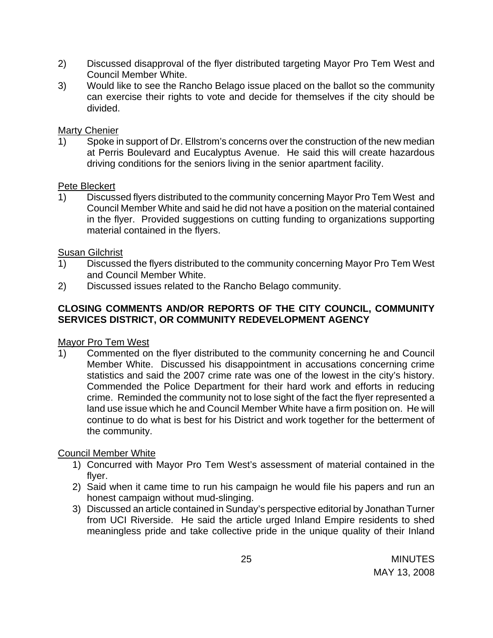- 2) Discussed disapproval of the flyer distributed targeting Mayor Pro Tem West and Council Member White.
- 3) Would like to see the Rancho Belago issue placed on the ballot so the community can exercise their rights to vote and decide for themselves if the city should be divided.

# Marty Chenier

1) Spoke in support of Dr. Ellstrom's concerns over the construction of the new median at Perris Boulevard and Eucalyptus Avenue. He said this will create hazardous driving conditions for the seniors living in the senior apartment facility.

# Pete Bleckert

1) Discussed flyers distributed to the community concerning Mayor Pro Tem West and Council Member White and said he did not have a position on the material contained in the flyer. Provided suggestions on cutting funding to organizations supporting material contained in the flyers.

# Susan Gilchrist

- 1) Discussed the flyers distributed to the community concerning Mayor Pro Tem West and Council Member White.
- 2) Discussed issues related to the Rancho Belago community.

# **CLOSING COMMENTS AND/OR REPORTS OF THE CITY COUNCIL, COMMUNITY SERVICES DISTRICT, OR COMMUNITY REDEVELOPMENT AGENCY**

# Mayor Pro Tem West

1) Commented on the flyer distributed to the community concerning he and Council Member White. Discussed his disappointment in accusations concerning crime statistics and said the 2007 crime rate was one of the lowest in the city's history. Commended the Police Department for their hard work and efforts in reducing crime. Reminded the community not to lose sight of the fact the flyer represented a land use issue which he and Council Member White have a firm position on. He will continue to do what is best for his District and work together for the betterment of the community.

# Council Member White

- 1) Concurred with Mayor Pro Tem West's assessment of material contained in the flyer.
- 2) Said when it came time to run his campaign he would file his papers and run an honest campaign without mud-slinging.
- 3) Discussed an article contained in Sunday's perspective editorial by Jonathan Turner from UCI Riverside. He said the article urged Inland Empire residents to shed meaningless pride and take collective pride in the unique quality of their Inland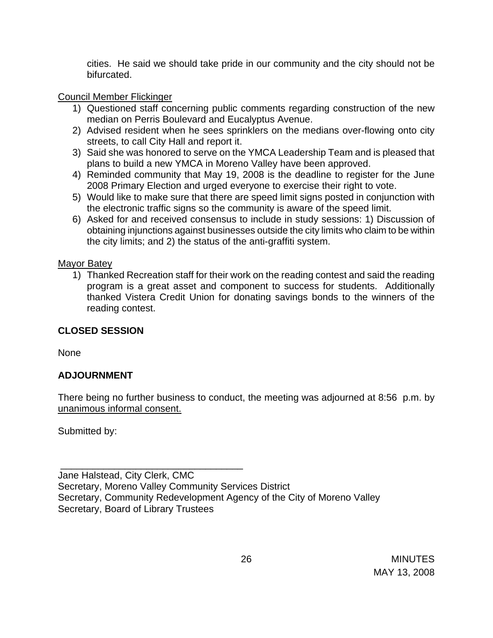cities. He said we should take pride in our community and the city should not be bifurcated.

# Council Member Flickinger

- 1) Questioned staff concerning public comments regarding construction of the new median on Perris Boulevard and Eucalyptus Avenue.
- 2) Advised resident when he sees sprinklers on the medians over-flowing onto city streets, to call City Hall and report it.
- 3) Said she was honored to serve on the YMCA Leadership Team and is pleased that plans to build a new YMCA in Moreno Valley have been approved.
- 4) Reminded community that May 19, 2008 is the deadline to register for the June 2008 Primary Election and urged everyone to exercise their right to vote.
- 5) Would like to make sure that there are speed limit signs posted in conjunction with the electronic traffic signs so the community is aware of the speed limit.
- 6) Asked for and received consensus to include in study sessions: 1) Discussion of obtaining injunctions against businesses outside the city limits who claim to be within the city limits; and 2) the status of the anti-graffiti system.

# Mayor Batey

1) Thanked Recreation staff for their work on the reading contest and said the reading program is a great asset and component to success for students. Additionally thanked Vistera Credit Union for donating savings bonds to the winners of the reading contest.

# **CLOSED SESSION**

None

# **ADJOURNMENT**

There being no further business to conduct, the meeting was adjourned at 8:56 p.m. by unanimous informal consent.

Submitted by:

 \_\_\_\_\_\_\_\_\_\_\_\_\_\_\_\_\_\_\_\_\_\_\_\_\_\_\_\_\_\_\_\_\_\_ Jane Halstead, City Clerk, CMC Secretary, Moreno Valley Community Services District Secretary, Community Redevelopment Agency of the City of Moreno Valley Secretary, Board of Library Trustees